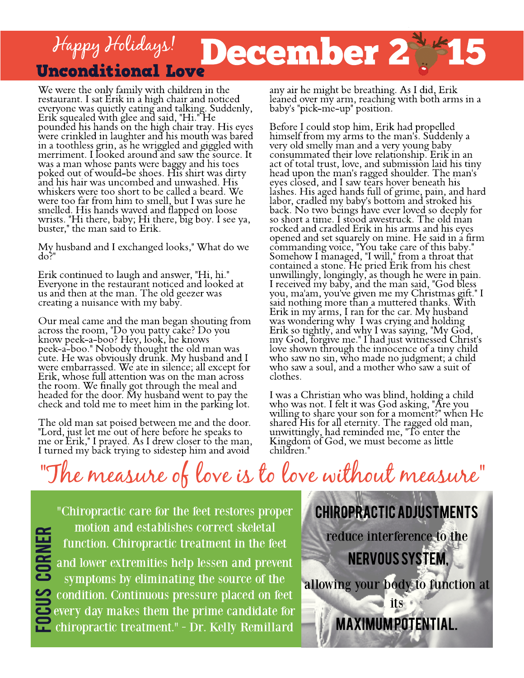#### Unconditional Love December 2 Happy Holidays!

We were the only family with children in the restaurant. I sat Erik in a high chair and noticed everyone was quietly eating and talking. Suddenly, Erik squealed with glee and said, "Hi." He pounded his hands on the high chair tray. His eyes were crinkled in laughter and his mouth was bared in a toothless grin, as he wriggled and giggled with merriment. I looked around and saw the source. It was a man whose pants were baggy and his toes poked out of would-be shoes. His shirt was dirty and his hair was uncombed and unwashed. His whiskers were too short to be called a beard. We were too far from him to smell, but I was sure he smelled. His hands waved and flapped on loose wrists. "Hi there, baby; Hi there, big boy. I see ya, buster," the man said to Erik.

My husband and I exchanged looks," What do we do?"

Erik continued to laugh and answer, "Hi, hi." Everyone in the restaurant noticed and looked at us and then at the man. The old geezer was creating a nuisance with my baby.

Our meal came and the man began shouting from acrossthe room, "Do you patty cake?Do you know peek-a-boo?Hey, look, he knows peek-a-boo." Nobody thought the old man was cute. He was obviously drunk. My husband and I were embarrassed. We ate in silence; all except for Erik, whose full attention was on the man across the room. We finally got through the meal and headed for the door. My husband went to pay the check and told me to meet him in the parking lot.

The old man sat poised between me and the door. "Lord, just let me out of here before he speaks to me or Erik,"I prayed. AsI drew closer to the man, I turned my back trying to sidestep him and avoid

any air he might be breathing. AsI did, Erik leaned over my arm, reaching with both armsin a baby's"pick-me-up" position.

Before I could stop him, Erik had propelled himself from my arms to the man's. Suddenly a very old smelly man and avery young baby consummated their love relationship. Erik in an act of total trust, love, and submission laid histiny head upon the man's ragged shoulder. The man's eyes closed, and I saw tears hover beneath his lashes. His aged hands full of grime, pain, and hard labor, cradled my baby's bottom and stroked his back. No two beings have ever loved so deeply for so short a time. I stood awestruck. The old man rocked and cradled Erik in his arms and his eyes opened and set squarely on mine. He said in a firm commanding voice, "You take care of thisbaby." Somehow I managed, "I will," from a throat that contained a stone. He pried Erik from his chest unwillingly, longingly, as though he were in pain. I received my baby, and the man said, "God bless you, ma'am, you've given me my Christmas gift." I said nothing more than a muttered thanks. With Erik in my arms, I ran for the car. My husband was wondering why I was crying and holding Erik so tightly, and why I was saying, "My God, my God, forgive me."I had just witnessed Christ's love shown through the innocence of a tiny child who saw no sin, who made no judgment; a child who saw a soul, and a mother who saw a suit of clothes.

I was a Christian who was blind, holding a child who was not. I felt it was God asking, "Are you willing to share your son for amoment?" when He shared His for all eternity. The ragged old man, unwittingly, had reminded me, "To enter the Kingdom of God, we must become as little children."

"The measure of love is to love without measure"

CURN<br>a ER

"Chiropractic care for the feet restores proper motion and establishes correct skeletal function. Chiropractic treatment in the feet condition. Continuous pressure placed on feet<br>
every day makes them the prime candidate for<br>
chiropractic treatment." - Dr. Kelly Remillard and lower extremities help lessen and prevent symptoms by eliminating the source of the condition. Continuous pressure placed on feet every day makes them the prime candidate for